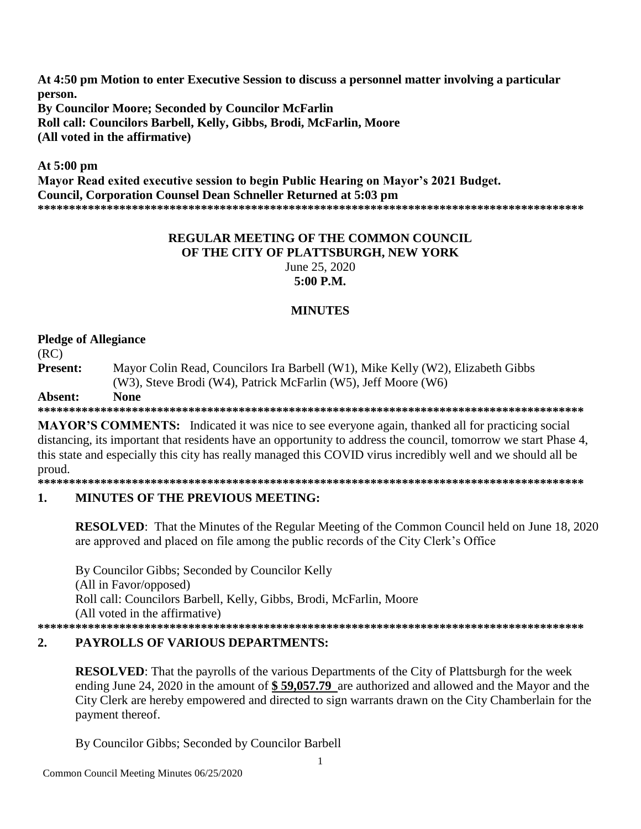**At 4:50 pm Motion to enter Executive Session to discuss a personnel matter involving a particular person. By Councilor Moore; Seconded by Councilor McFarlin Roll call: Councilors Barbell, Kelly, Gibbs, Brodi, McFarlin, Moore (All voted in the affirmative)**

**At 5:00 pm Mayor Read exited executive session to begin Public Hearing on Mayor's 2021 Budget. Council, Corporation Counsel Dean Schneller Returned at 5:03 pm \*\*\*\*\*\*\*\*\*\*\*\*\*\*\*\*\*\*\*\*\*\*\*\*\*\*\*\*\*\*\*\*\*\*\*\*\*\*\*\*\*\*\*\*\*\*\*\*\*\*\*\*\*\*\*\*\*\*\*\*\*\*\*\*\*\*\*\*\*\*\*\*\*\*\*\*\*\*\*\*\*\*\*\*\*\*\***

### **REGULAR MEETING OF THE COMMON COUNCIL OF THE CITY OF PLATTSBURGH, NEW YORK** June 25, 2020 **5:00 P.M.**

## **MINUTES**

## **Pledge of Allegiance**

(RC)

**Present:** Mayor Colin Read, Councilors Ira Barbell (W1), Mike Kelly (W2), Elizabeth Gibbs (W3), Steve Brodi (W4), Patrick McFarlin (W5), Jeff Moore (W6)

#### **Absent: None**

**\*\*\*\*\*\*\*\*\*\*\*\*\*\*\*\*\*\*\*\*\*\*\*\*\*\*\*\*\*\*\*\*\*\*\*\*\*\*\*\*\*\*\*\*\*\*\*\*\*\*\*\*\*\*\*\*\*\*\*\*\*\*\*\*\*\*\*\*\*\*\*\*\*\*\*\*\*\*\*\*\*\*\*\*\*\*\***

**MAYOR'S COMMENTS:** Indicated it was nice to see everyone again, thanked all for practicing social distancing, its important that residents have an opportunity to address the council, tomorrow we start Phase 4, this state and especially this city has really managed this COVID virus incredibly well and we should all be proud.

**\*\*\*\*\*\*\*\*\*\*\*\*\*\*\*\*\*\*\*\*\*\*\*\*\*\*\*\*\*\*\*\*\*\*\*\*\*\*\*\*\*\*\*\*\*\*\*\*\*\*\*\*\*\*\*\*\*\*\*\*\*\*\*\*\*\*\*\*\*\*\*\*\*\*\*\*\*\*\*\*\*\*\*\*\*\*\***

## **1. MINUTES OF THE PREVIOUS MEETING:**

**RESOLVED:** That the Minutes of the Regular Meeting of the Common Council held on June 18, 2020 are approved and placed on file among the public records of the City Clerk's Office

By Councilor Gibbs; Seconded by Councilor Kelly (All in Favor/opposed) Roll call: Councilors Barbell, Kelly, Gibbs, Brodi, McFarlin, Moore (All voted in the affirmative) **\*\*\*\*\*\*\*\*\*\*\*\*\*\*\*\*\*\*\*\*\*\*\*\*\*\*\*\*\*\*\*\*\*\*\*\*\*\*\*\*\*\*\*\*\*\*\*\*\*\*\*\*\*\*\*\*\*\*\*\*\*\*\*\*\*\*\*\*\*\*\*\*\*\*\*\*\*\*\*\*\*\*\*\*\*\*\***

## **2. PAYROLLS OF VARIOUS DEPARTMENTS:**

**RESOLVED**: That the payrolls of the various Departments of the City of Plattsburgh for the week ending June 24, 2020 in the amount of **\$ 59,057.79** are authorized and allowed and the Mayor and the City Clerk are hereby empowered and directed to sign warrants drawn on the City Chamberlain for the payment thereof.

By Councilor Gibbs; Seconded by Councilor Barbell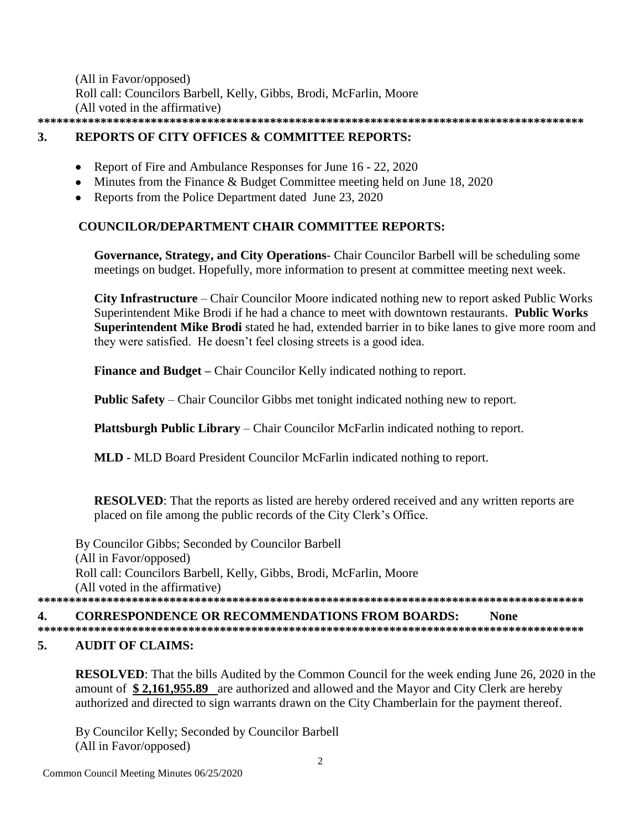(All in Favor/opposed) Roll call: Councilors Barbell, Kelly, Gibbs, Brodi, McFarlin, Moore (All voted in the affirmative) **\*\*\*\*\*\*\*\*\*\*\*\*\*\*\*\*\*\*\*\*\*\*\*\*\*\*\*\*\*\*\*\*\*\*\*\*\*\*\*\*\*\*\*\*\*\*\*\*\*\*\*\*\*\*\*\*\*\*\*\*\*\*\*\*\*\*\*\*\*\*\*\*\*\*\*\*\*\*\*\*\*\*\*\*\*\*\***

# **3. REPORTS OF CITY OFFICES & COMMITTEE REPORTS:**

- Report of Fire and Ambulance Responses for June 16 22, 2020
- Minutes from the Finance & Budget Committee meeting held on June 18, 2020
- Reports from the Police Department dated June 23, 2020

## **COUNCILOR/DEPARTMENT CHAIR COMMITTEE REPORTS:**

**Governance, Strategy, and City Operations**- Chair Councilor Barbell will be scheduling some meetings on budget. Hopefully, more information to present at committee meeting next week.

**City Infrastructure** – Chair Councilor Moore indicated nothing new to report asked Public Works Superintendent Mike Brodi if he had a chance to meet with downtown restaurants. **Public Works Superintendent Mike Brodi** stated he had, extended barrier in to bike lanes to give more room and they were satisfied. He doesn't feel closing streets is a good idea.

**Finance and Budget –** Chair Councilor Kelly indicated nothing to report.

**Public Safety** – Chair Councilor Gibbs met tonight indicated nothing new to report.

**Plattsburgh Public Library** – Chair Councilor McFarlin indicated nothing to report.

**MLD -** MLD Board President Councilor McFarlin indicated nothing to report.

**RESOLVED**: That the reports as listed are hereby ordered received and any written reports are placed on file among the public records of the City Clerk's Office.

By Councilor Gibbs; Seconded by Councilor Barbell (All in Favor/opposed) Roll call: Councilors Barbell, Kelly, Gibbs, Brodi, McFarlin, Moore (All voted in the affirmative) **\*\*\*\*\*\*\*\*\*\*\*\*\*\*\*\*\*\*\*\*\*\*\*\*\*\*\*\*\*\*\*\*\*\*\*\*\*\*\*\*\*\*\*\*\*\*\*\*\*\*\*\*\*\*\*\*\*\*\*\*\*\*\*\*\*\*\*\*\*\*\*\*\*\*\*\*\*\*\*\*\*\*\*\*\*\*\***

## **4. CORRESPONDENCE OR RECOMMENDATIONS FROM BOARDS: None**

**\*\*\*\*\*\*\*\*\*\*\*\*\*\*\*\*\*\*\*\*\*\*\*\*\*\*\*\*\*\*\*\*\*\*\*\*\*\*\*\*\*\*\*\*\*\*\*\*\*\*\*\*\*\*\*\*\*\*\*\*\*\*\*\*\*\*\*\*\*\*\*\*\*\*\*\*\*\*\*\*\*\*\*\*\*\*\***

## **5. AUDIT OF CLAIMS:**

**RESOLVED**: That the bills Audited by the Common Council for the week ending June 26, 2020 in the amount of **\$ 2,161,955.89** are authorized and allowed and the Mayor and City Clerk are hereby authorized and directed to sign warrants drawn on the City Chamberlain for the payment thereof.

By Councilor Kelly; Seconded by Councilor Barbell (All in Favor/opposed)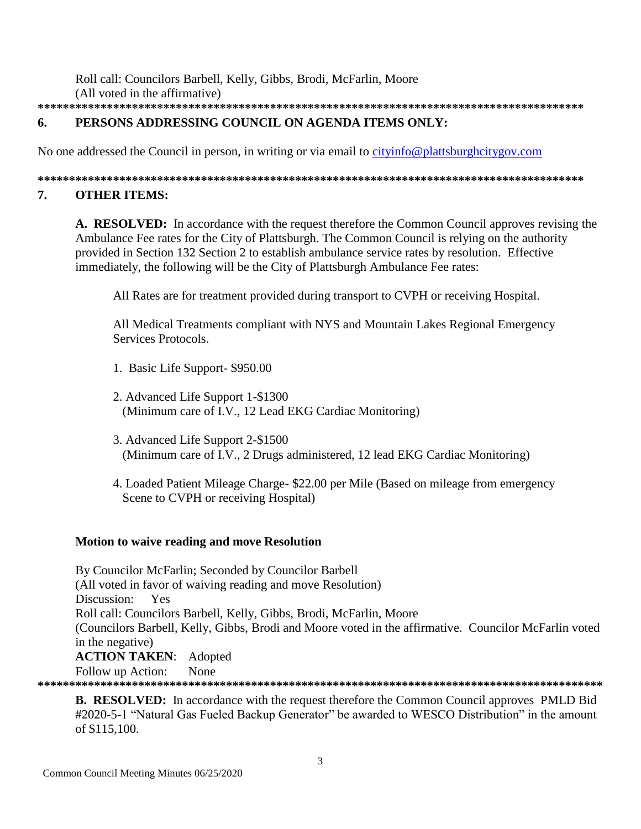Roll call: Councilors Barbell, Kelly, Gibbs, Brodi, McFarlin, Moore (All voted in the affirmative) 

#### 6. PERSONS ADDRESSING COUNCIL ON AGENDA ITEMS ONLY:

No one addressed the Council in person, in writing or via email to cityinfo@plattsburghcitygov.com

#### 7. **OTHER ITEMS:**

A. RESOLVED: In accordance with the request therefore the Common Council approves revising the Ambulance Fee rates for the City of Plattsburgh. The Common Council is relying on the authority provided in Section 132 Section 2 to establish ambulance service rates by resolution. Effective immediately, the following will be the City of Plattsburgh Ambulance Fee rates:

All Rates are for treatment provided during transport to CVPH or receiving Hospital.

All Medical Treatments compliant with NYS and Mountain Lakes Regional Emergency Services Protocols.

- 1. Basic Life Support-\$950.00
- 2. Advanced Life Support 1-\$1300 (Minimum care of I.V., 12 Lead EKG Cardiac Monitoring)
- 3. Advanced Life Support 2-\$1500 (Minimum care of I.V., 2 Drugs administered, 12 lead EKG Cardiac Monitoring)
- 4. Loaded Patient Mileage Charge- \$22.00 per Mile (Based on mileage from emergency Scene to CVPH or receiving Hospital)

## **Motion to waive reading and move Resolution**

By Councilor McFarlin; Seconded by Councilor Barbell (All voted in favor of waiving reading and move Resolution) Discussion: Yes Roll call: Councilors Barbell, Kelly, Gibbs, Brodi, McFarlin, Moore (Councilors Barbell, Kelly, Gibbs, Brodi and Moore voted in the affirmative. Councilor McFarlin voted in the negative) **ACTION TAKEN:** Adopted

Follow up Action: None

**B. RESOLVED:** In accordance with the request therefore the Common Council approves PMLD Bid

#2020-5-1 "Natural Gas Fueled Backup Generator" be awarded to WESCO Distribution" in the amount of \$115,100.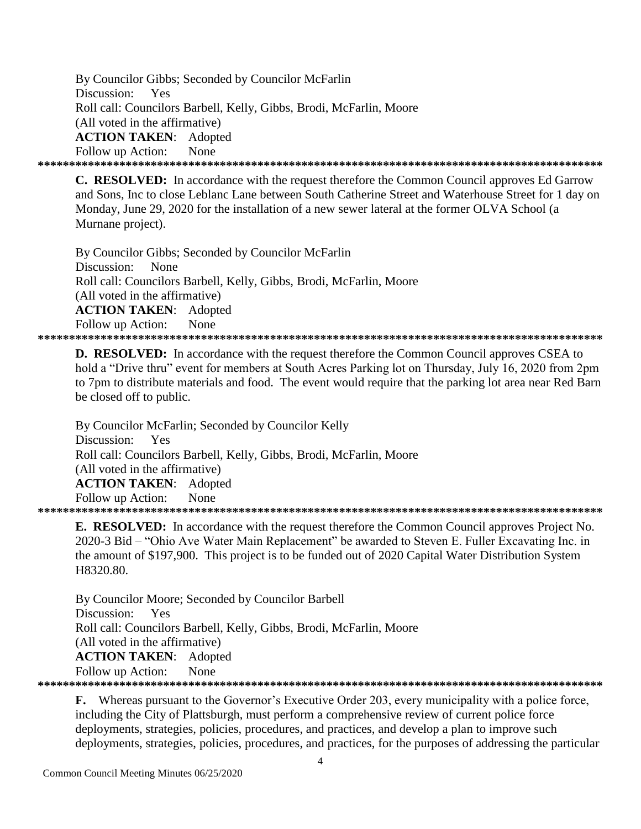By Councilor Gibbs; Seconded by Councilor McFarlin Discussion: Yes Roll call: Councilors Barbell, Kelly, Gibbs, Brodi, McFarlin, Moore (All voted in the affirmative) **ACTION TAKEN**: Adopted Follow up Action: None **\*\*\*\*\*\*\*\*\*\*\*\*\*\*\*\*\*\*\*\*\*\*\*\*\*\*\*\*\*\*\*\*\*\*\*\*\*\*\*\*\*\*\*\*\*\*\*\*\*\*\*\*\*\*\*\*\*\*\*\*\*\*\*\*\*\*\*\*\*\*\*\*\*\*\*\*\*\*\*\*\*\*\*\*\*\*\*\*\*\***

**C. RESOLVED:** In accordance with the request therefore the Common Council approves Ed Garrow and Sons, Inc to close Leblanc Lane between South Catherine Street and Waterhouse Street for 1 day on Monday, June 29, 2020 for the installation of a new sewer lateral at the former OLVA School (a Murnane project).

By Councilor Gibbs; Seconded by Councilor McFarlin Discussion: None Roll call: Councilors Barbell, Kelly, Gibbs, Brodi, McFarlin, Moore (All voted in the affirmative) **ACTION TAKEN**: Adopted Follow up Action: None **\*\*\*\*\*\*\*\*\*\*\*\*\*\*\*\*\*\*\*\*\*\*\*\*\*\*\*\*\*\*\*\*\*\*\*\*\*\*\*\*\*\*\*\*\*\*\*\*\*\*\*\*\*\*\*\*\*\*\*\*\*\*\*\*\*\*\*\*\*\*\*\*\*\*\*\*\*\*\*\*\*\*\*\*\*\*\*\*\*\***

**D. RESOLVED:** In accordance with the request therefore the Common Council approves CSEA to hold a "Drive thru" event for members at South Acres Parking lot on Thursday, July 16, 2020 from 2pm to 7pm to distribute materials and food. The event would require that the parking lot area near Red Barn be closed off to public.

By Councilor McFarlin; Seconded by Councilor Kelly Discussion: Yes Roll call: Councilors Barbell, Kelly, Gibbs, Brodi, McFarlin, Moore (All voted in the affirmative) **ACTION TAKEN**: Adopted Follow up Action: None **\*\*\*\*\*\*\*\*\*\*\*\*\*\*\*\*\*\*\*\*\*\*\*\*\*\*\*\*\*\*\*\*\*\*\*\*\*\*\*\*\*\*\*\*\*\*\*\*\*\*\*\*\*\*\*\*\*\*\*\*\*\*\*\*\*\*\*\*\*\*\*\*\*\*\*\*\*\*\*\*\*\*\*\*\*\*\*\*\*\***

**E. RESOLVED:** In accordance with the request therefore the Common Council approves Project No. 2020-3 Bid – "Ohio Ave Water Main Replacement" be awarded to Steven E. Fuller Excavating Inc. in the amount of \$197,900. This project is to be funded out of 2020 Capital Water Distribution System

H8320.80.

By Councilor Moore; Seconded by Councilor Barbell Discussion: Yes Roll call: Councilors Barbell, Kelly, Gibbs, Brodi, McFarlin, Moore (All voted in the affirmative) **ACTION TAKEN**: Adopted

Follow up Action: None

**\*\*\*\*\*\*\*\*\*\*\*\*\*\*\*\*\*\*\*\*\*\*\*\*\*\*\*\*\*\*\*\*\*\*\*\*\*\*\*\*\*\*\*\*\*\*\*\*\*\*\*\*\*\*\*\*\*\*\*\*\*\*\*\*\*\*\*\*\*\*\*\*\*\*\*\*\*\*\*\*\*\*\*\*\*\*\*\*\*\***

**F.** Whereas pursuant to the Governor's Executive Order 203, every municipality with a police force, including the City of Plattsburgh, must perform a comprehensive review of current police force deployments, strategies, policies, procedures, and practices, and develop a plan to improve such deployments, strategies, policies, procedures, and practices, for the purposes of addressing the particular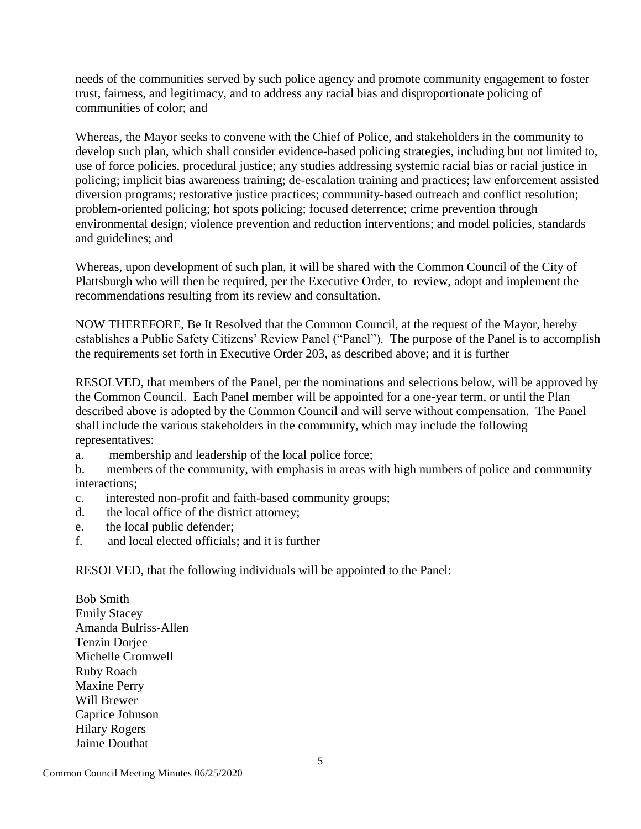needs of the communities served by such police agency and promote community engagement to foster trust, fairness, and legitimacy, and to address any racial bias and disproportionate policing of communities of color; and

Whereas, the Mayor seeks to convene with the Chief of Police, and stakeholders in the community to develop such plan, which shall consider evidence-based policing strategies, including but not limited to, use of force policies, procedural justice; any studies addressing systemic racial bias or racial justice in policing; implicit bias awareness training; de-escalation training and practices; law enforcement assisted diversion programs; restorative justice practices; community-based outreach and conflict resolution; problem-oriented policing; hot spots policing; focused deterrence; crime prevention through environmental design; violence prevention and reduction interventions; and model policies, standards and guidelines; and

Whereas, upon development of such plan, it will be shared with the Common Council of the City of Plattsburgh who will then be required, per the Executive Order, to review, adopt and implement the recommendations resulting from its review and consultation.

NOW THEREFORE, Be It Resolved that the Common Council, at the request of the Mayor, hereby establishes a Public Safety Citizens' Review Panel ("Panel"). The purpose of the Panel is to accomplish the requirements set forth in Executive Order 203, as described above; and it is further

RESOLVED, that members of the Panel, per the nominations and selections below, will be approved by the Common Council. Each Panel member will be appointed for a one-year term, or until the Plan described above is adopted by the Common Council and will serve without compensation. The Panel shall include the various stakeholders in the community, which may include the following representatives:

a. membership and leadership of the local police force;

b. members of the community, with emphasis in areas with high numbers of police and community interactions;

- c. interested non-profit and faith-based community groups;
- d. the local office of the district attorney;
- e. the local public defender;
- f. and local elected officials; and it is further

RESOLVED, that the following individuals will be appointed to the Panel:

Bob Smith Emily Stacey Amanda Bulriss-Allen Tenzin Dorjee Michelle Cromwell Ruby Roach Maxine Perry Will Brewer Caprice Johnson Hilary Rogers Jaime Douthat

5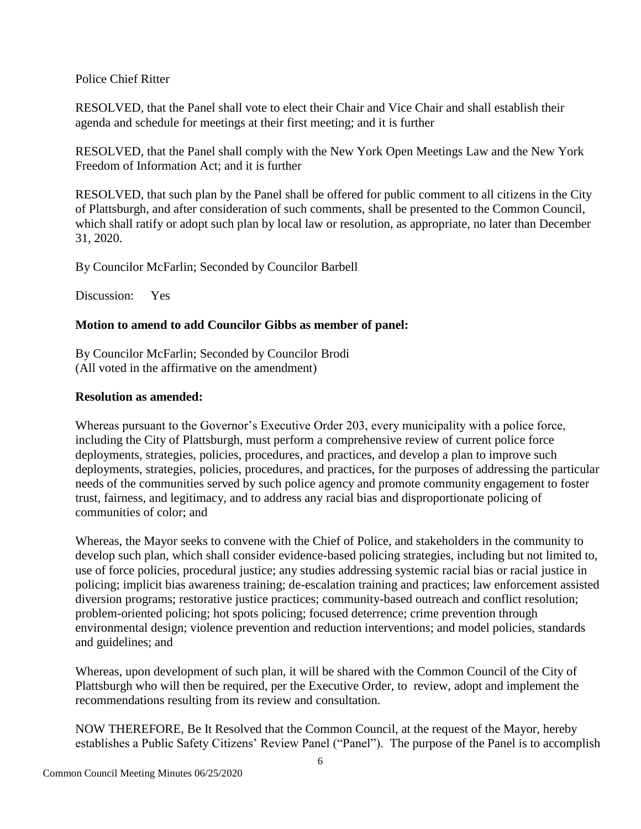### Police Chief Ritter

RESOLVED, that the Panel shall vote to elect their Chair and Vice Chair and shall establish their agenda and schedule for meetings at their first meeting; and it is further

RESOLVED, that the Panel shall comply with the New York Open Meetings Law and the New York Freedom of Information Act; and it is further

RESOLVED, that such plan by the Panel shall be offered for public comment to all citizens in the City of Plattsburgh, and after consideration of such comments, shall be presented to the Common Council, which shall ratify or adopt such plan by local law or resolution, as appropriate, no later than December 31, 2020.

By Councilor McFarlin; Seconded by Councilor Barbell

Discussion: Yes

## **Motion to amend to add Councilor Gibbs as member of panel:**

By Councilor McFarlin; Seconded by Councilor Brodi (All voted in the affirmative on the amendment)

## **Resolution as amended:**

Whereas pursuant to the Governor's Executive Order 203, every municipality with a police force, including the City of Plattsburgh, must perform a comprehensive review of current police force deployments, strategies, policies, procedures, and practices, and develop a plan to improve such deployments, strategies, policies, procedures, and practices, for the purposes of addressing the particular needs of the communities served by such police agency and promote community engagement to foster trust, fairness, and legitimacy, and to address any racial bias and disproportionate policing of communities of color; and

Whereas, the Mayor seeks to convene with the Chief of Police, and stakeholders in the community to develop such plan, which shall consider evidence-based policing strategies, including but not limited to, use of force policies, procedural justice; any studies addressing systemic racial bias or racial justice in policing; implicit bias awareness training; de-escalation training and practices; law enforcement assisted diversion programs; restorative justice practices; community-based outreach and conflict resolution; problem-oriented policing; hot spots policing; focused deterrence; crime prevention through environmental design; violence prevention and reduction interventions; and model policies, standards and guidelines; and

Whereas, upon development of such plan, it will be shared with the Common Council of the City of Plattsburgh who will then be required, per the Executive Order, to review, adopt and implement the recommendations resulting from its review and consultation.

NOW THEREFORE, Be It Resolved that the Common Council, at the request of the Mayor, hereby establishes a Public Safety Citizens' Review Panel ("Panel"). The purpose of the Panel is to accomplish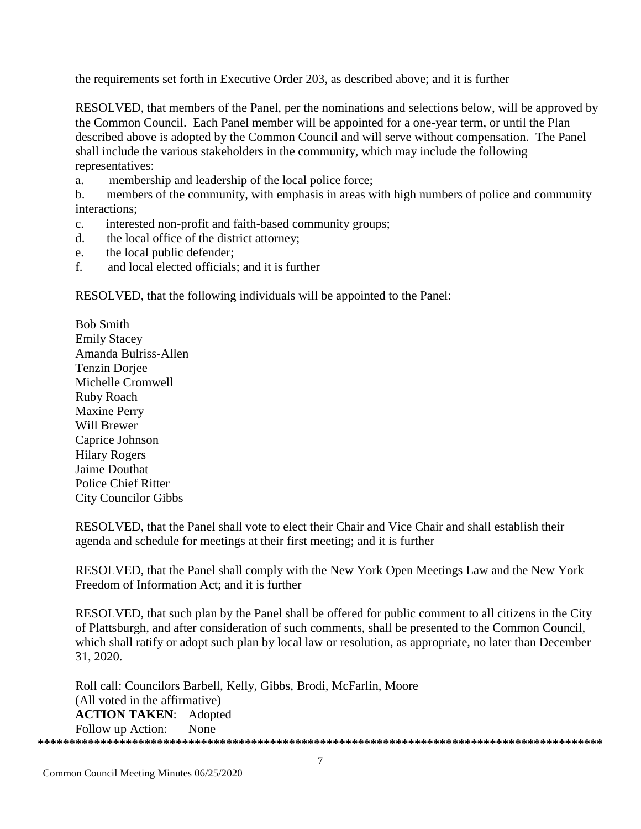the requirements set forth in Executive Order 203, as described above; and it is further

RESOLVED, that members of the Panel, per the nominations and selections below, will be approved by the Common Council. Each Panel member will be appointed for a one-vear term, or until the Plan described above is adopted by the Common Council and will serve without compensation. The Panel shall include the various stakeholders in the community, which may include the following representatives:

 $\mathbf{a}$ . membership and leadership of the local police force;

members of the community, with emphasis in areas with high numbers of police and community  $h_{\cdot}$ interactions:

- interested non-profit and faith-based community groups;  $\mathbf{c}$
- the local office of the district attorney;  $d_{-}$
- the local public defender;  $e^+$
- and local elected officials; and it is further  $f$

RESOLVED, that the following individuals will be appointed to the Panel:

**Bob Smith Emily Stacey** Amanda Bulriss-Allen **Tenzin Doriee** Michelle Cromwell Ruby Roach **Maxine Perry** Will Brewer Caprice Johnson **Hilary Rogers** Jaime Douthat **Police Chief Ritter City Councilor Gibbs** 

RESOLVED, that the Panel shall vote to elect their Chair and Vice Chair and shall establish their agenda and schedule for meetings at their first meeting; and it is further

RESOLVED, that the Panel shall comply with the New York Open Meetings Law and the New York Freedom of Information Act; and it is further

RESOLVED, that such plan by the Panel shall be offered for public comment to all citizens in the City of Plattsburgh, and after consideration of such comments, shall be presented to the Common Council, which shall ratify or adopt such plan by local law or resolution, as appropriate, no later than December 31, 2020.

Roll call: Councilors Barbell, Kelly, Gibbs, Brodi, McFarlin, Moore (All voted in the affirmative) **ACTION TAKEN: Adopted** Follow up Action: None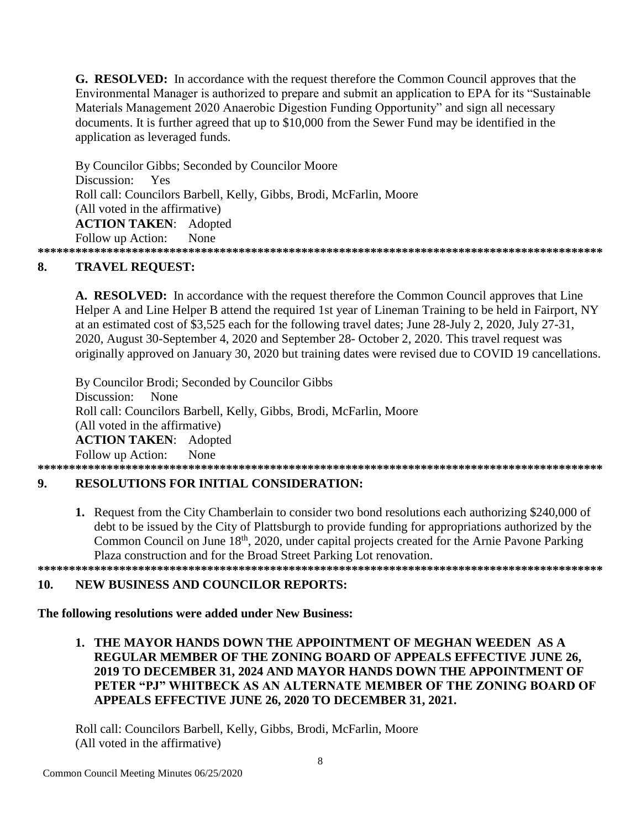**G. RESOLVED:** In accordance with the request therefore the Common Council approves that the Environmental Manager is authorized to prepare and submit an application to EPA for its "Sustainable" Materials Management 2020 Anaerobic Digestion Funding Opportunity" and sign all necessary documents. It is further agreed that up to \$10,000 from the Sewer Fund may be identified in the application as leveraged funds.

By Councilor Gibbs; Seconded by Councilor Moore Discussion: Yes Roll call: Councilors Barbell, Kelly, Gibbs, Brodi, McFarlin, Moore (All voted in the affirmative) **ACTION TAKEN: Adopted** None Follow up Action: 

#### 8. **TRAVEL REQUEST:**

A. RESOLVED: In accordance with the request therefore the Common Council approves that Line Helper A and Line Helper B attend the required 1st year of Lineman Training to be held in Fairport, NY at an estimated cost of \$3,525 each for the following travel dates; June 28-July 2, 2020, July 27-31, 2020, August 30-September 4, 2020 and September 28- October 2, 2020. This travel request was originally approved on January 30, 2020 but training dates were revised due to COVID 19 cancellations.

By Councilor Brodi; Seconded by Councilor Gibbs Discussion: None Roll call: Councilors Barbell, Kelly, Gibbs, Brodi, McFarlin, Moore (All voted in the affirmative) **ACTION TAKEN:** Adopted Follow up Action: None 

#### **RESOLUTIONS FOR INITIAL CONSIDERATION:** 9.

**1.** Request from the City Chamberlain to consider two bond resolutions each authorizing \$240,000 of debt to be issued by the City of Plattsburgh to provide funding for appropriations authorized by the Common Council on June 18<sup>th</sup>, 2020, under capital projects created for the Arnie Payone Parking Plaza construction and for the Broad Street Parking Lot renovation. 

#### 10. **NEW BUSINESS AND COUNCILOR REPORTS:**

## The following resolutions were added under New Business:

1. THE MAYOR HANDS DOWN THE APPOINTMENT OF MEGHAN WEEDEN AS A REGULAR MEMBER OF THE ZONING BOARD OF APPEALS EFFECTIVE JUNE 26. 2019 TO DECEMBER 31, 2024 AND MAYOR HANDS DOWN THE APPOINTMENT OF PETER "PJ" WHITBECK AS AN ALTERNATE MEMBER OF THE ZONING BOARD OF APPEALS EFFECTIVE JUNE 26, 2020 TO DECEMBER 31, 2021.

Roll call: Councilors Barbell, Kelly, Gibbs, Brodi, McFarlin, Moore (All voted in the affirmative)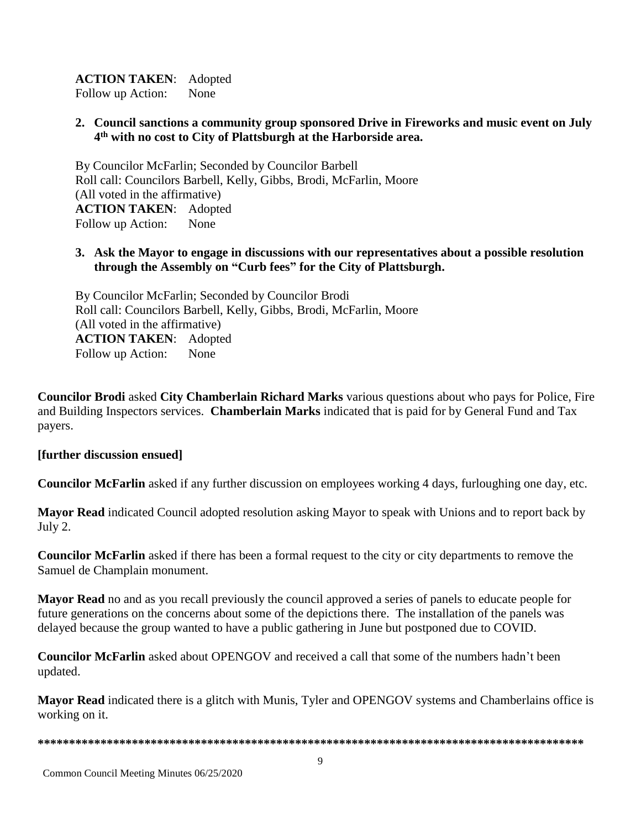## **ACTION TAKEN**: Adopted

Follow up Action: None

## **2. Council sanctions a community group sponsored Drive in Fireworks and music event on July 4 th with no cost to City of Plattsburgh at the Harborside area.**

By Councilor McFarlin; Seconded by Councilor Barbell Roll call: Councilors Barbell, Kelly, Gibbs, Brodi, McFarlin, Moore (All voted in the affirmative) **ACTION TAKEN**: Adopted Follow up Action: None

## **3. Ask the Mayor to engage in discussions with our representatives about a possible resolution through the Assembly on "Curb fees" for the City of Plattsburgh.**

By Councilor McFarlin; Seconded by Councilor Brodi Roll call: Councilors Barbell, Kelly, Gibbs, Brodi, McFarlin, Moore (All voted in the affirmative) **ACTION TAKEN**: Adopted Follow up Action: None

**Councilor Brodi** asked **City Chamberlain Richard Marks** various questions about who pays for Police, Fire and Building Inspectors services. **Chamberlain Marks** indicated that is paid for by General Fund and Tax payers.

### **[further discussion ensued]**

**Councilor McFarlin** asked if any further discussion on employees working 4 days, furloughing one day, etc.

**Mayor Read** indicated Council adopted resolution asking Mayor to speak with Unions and to report back by July 2.

**Councilor McFarlin** asked if there has been a formal request to the city or city departments to remove the Samuel de Champlain monument.

**Mayor Read** no and as you recall previously the council approved a series of panels to educate people for future generations on the concerns about some of the depictions there. The installation of the panels was delayed because the group wanted to have a public gathering in June but postponed due to COVID.

**Councilor McFarlin** asked about OPENGOV and received a call that some of the numbers hadn't been updated.

**Mayor Read** indicated there is a glitch with Munis, Tyler and OPENGOV systems and Chamberlains office is working on it.

**\*\*\*\*\*\*\*\*\*\*\*\*\*\*\*\*\*\*\*\*\*\*\*\*\*\*\*\*\*\*\*\*\*\*\*\*\*\*\*\*\*\*\*\*\*\*\*\*\*\*\*\*\*\*\*\*\*\*\*\*\*\*\*\*\*\*\*\*\*\*\*\*\*\*\*\*\*\*\*\*\*\*\*\*\*\*\***